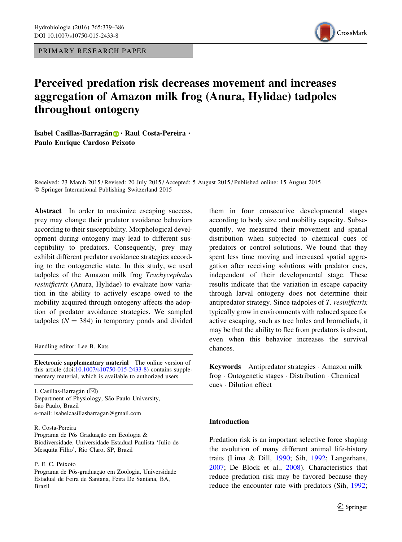PRIMARY RESEARCH PAPER



# Perceived predation risk decreases movement and increases aggregation of Amazon milk frog (Anura, Hylidae) tadpoles throughout ontogeny

Isabel Casillas-Barragán **D** · Raul Costa-Pereira · Paulo Enrique Cardoso Peixoto

Received: 23 March 2015 / Revised: 20 July 2015 / Accepted: 5 August 2015 / Published online: 15 August 2015 - Springer International Publishing Switzerland 2015

Abstract In order to maximize escaping success, prey may change their predator avoidance behaviors according to their susceptibility. Morphological development during ontogeny may lead to different susceptibility to predators. Consequently, prey may exhibit different predator avoidance strategies according to the ontogenetic state. In this study, we used tadpoles of the Amazon milk frog Trachycephalus resinifictrix (Anura, Hylidae) to evaluate how variation in the ability to actively escape owed to the mobility acquired through ontogeny affects the adoption of predator avoidance strategies. We sampled tadpoles ( $N = 384$ ) in temporary ponds and divided

Handling editor: Lee B. Kats

Electronic supplementary material The online version of this article (doi[:10.1007/s10750-015-2433-8\)](http://dx.doi.org/10.1007/s10750-015-2433-8) contains supplementary material, which is available to authorized users.

I. Casillas-Barragán (⊠) Department of Physiology, São Paulo University, São Paulo, Brazil e-mail: isabelcasillasbarragan@gmail.com

## R. Costa-Pereira

Programa de Pós Graduação em Ecologia & Biodiversidade, Universidade Estadual Paulista 'Julio de Mesquita Filho', Rio Claro, SP, Brazil

P. E. C. Peixoto

Programa de Pós-graduação em Zoologia, Universidade Estadual de Feira de Santana, Feira De Santana, BA, Brazil

them in four consecutive developmental stages according to body size and mobility capacity. Subsequently, we measured their movement and spatial distribution when subjected to chemical cues of predators or control solutions. We found that they spent less time moving and increased spatial aggregation after receiving solutions with predator cues, independent of their developmental stage. These results indicate that the variation in escape capacity through larval ontogeny does not determine their antipredator strategy. Since tadpoles of T. resinifictrix typically grow in environments with reduced space for active escaping, such as tree holes and bromeliads, it may be that the ability to flee from predators is absent, even when this behavior increases the survival chances.

Keywords Antipredator strategies - Amazon milk frog - Ontogenetic stages - Distribution - Chemical cues - Dilution effect

# Introduction

Predation risk is an important selective force shaping the evolution of many different animal life-history traits (Lima & Dill, [1990;](#page-6-0) Sih, [1992](#page-7-0); Langerhans, [2007;](#page-6-0) De Block et al., [2008](#page-6-0)). Characteristics that reduce predation risk may be favored because they reduce the encounter rate with predators (Sih, [1992](#page-7-0);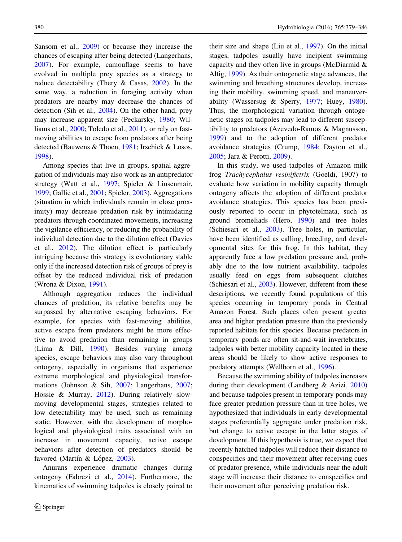Sansom et al., [2009](#page-7-0)) or because they increase the chances of escaping after being detected (Langerhans, [2007\)](#page-6-0). For example, camouflage seems to have evolved in multiple prey species as a strategy to reduce detectability (Thery & Casas, [2002\)](#page-7-0). In the same way, a reduction in foraging activity when predators are nearby may decrease the chances of detection (Sih et al., [2004\)](#page-7-0). On the other hand, prey may increase apparent size (Peckarsky, [1980](#page-7-0); Williams et al., [2000](#page-7-0); Toledo et al., [2011](#page-7-0)), or rely on fastmoving abilities to escape from predators after being detected (Bauwens & Thoen, [1981;](#page-6-0) Irschick & Losos, [1998\)](#page-6-0).

Among species that live in groups, spatial aggregation of individuals may also work as an antipredator strategy (Watt et al., [1997](#page-7-0); Spieler & Linsenmair, [1999;](#page-7-0) Gallie et al., [2001](#page-6-0); Spieler, [2003](#page-7-0)). Aggregations (situation in which individuals remain in close proximity) may decrease predation risk by intimidating predators through coordinated movements, increasing the vigilance efficiency, or reducing the probability of individual detection due to the dilution effect (Davies et al., [2012\)](#page-6-0). The dilution effect is particularly intriguing because this strategy is evolutionary stable only if the increased detection risk of groups of prey is offset by the reduced individual risk of predation (Wrona & Dixon, [1991\)](#page-7-0).

Although aggregation reduces the individual chances of predation, its relative benefits may be surpassed by alternative escaping behaviors. For example, for species with fast-moving abilities, active escape from predators might be more effective to avoid predation than remaining in groups (Lima & Dill, [1990](#page-6-0)). Besides varying among species, escape behaviors may also vary throughout ontogeny, especially in organisms that experience extreme morphological and physiological transformations (Johnson & Sih, [2007;](#page-6-0) Langerhans, [2007](#page-6-0); Hossie & Murray, [2012](#page-6-0)). During relatively slowmoving developmental stages, strategies related to low detectability may be used, such as remaining static. However, with the development of morphological and physiological traits associated with an increase in movement capacity, active escape behaviors after detection of predators should be favored (Martín & López, [2003\)](#page-6-0).

Anurans experience dramatic changes during ontogeny (Fabrezi et al., [2014](#page-6-0)). Furthermore, the kinematics of swimming tadpoles is closely paired to their size and shape (Liu et al., [1997](#page-6-0)). On the initial stages, tadpoles usually have incipient swimming capacity and they often live in groups (McDiarmid & Altig, [1999\)](#page-7-0). As their ontogenetic stage advances, the swimming and breathing structures develop, increasing their mobility, swimming speed, and maneuverability (Wassersug & Sperry, [1977](#page-7-0); Huey, [1980](#page-6-0)). Thus, the morphological variation through ontogenetic stages on tadpoles may lead to different susceptibility to predators (Azevedo-Ramos & Magnusson, [1999\)](#page-6-0) and to the adoption of different predator avoidance strategies (Crump, [1984;](#page-6-0) Dayton et al., [2005;](#page-6-0) Jara & Perotti, [2009\)](#page-6-0).

In this study, we used tadpoles of Amazon milk frog Trachycephalus resinifictrix (Goeldi, 1907) to evaluate how variation in mobility capacity through ontogeny affects the adoption of different predator avoidance strategies. This species has been previously reported to occur in phytotelmata, such as ground bromeliads (Hero, [1990\)](#page-6-0) and tree holes (Schiesari et al., [2003](#page-7-0)). Tree holes, in particular, have been identified as calling, breeding, and developmental sites for this frog. In this habitat, they apparently face a low predation pressure and, probably due to the low nutrient availability, tadpoles usually feed on eggs from subsequent clutches (Schiesari et al., [2003](#page-7-0)). However, different from these descriptions, we recently found populations of this species occurring in temporary ponds in Central Amazon Forest. Such places often present greater area and higher predation pressure than the previously reported habitats for this species. Because predators in temporary ponds are often sit-and-wait invertebrates, tadpoles with better mobility capacity located in these areas should be likely to show active responses to predatory attempts (Wellborn et al., [1996\)](#page-7-0).

Because the swimming ability of tadpoles increases during their development (Landberg & Azizi, [2010\)](#page-6-0) and because tadpoles present in temporary ponds may face greater predation pressure than in tree holes, we hypothesized that individuals in early developmental stages preferentially aggregate under predation risk, but change to active escape in the latter stages of development. If this hypothesis is true, we expect that recently hatched tadpoles will reduce their distance to conspecifics and their movement after receiving cues of predator presence, while individuals near the adult stage will increase their distance to conspecifics and their movement after perceiving predation risk.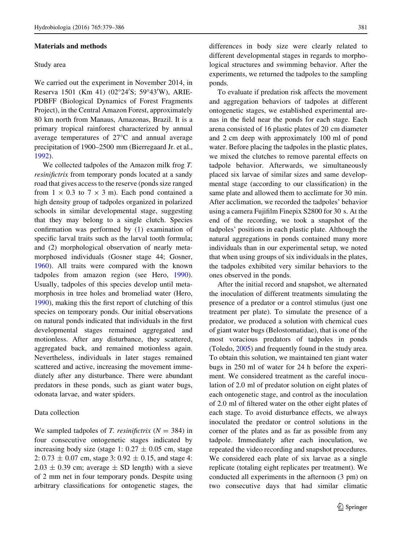# Materials and methods

#### Study area

We carried out the experiment in November 2014, in Reserva 1501 (Km 41) (02°24'S; 59°43'W), ARIE-PDBFF (Biological Dynamics of Forest Fragments Project), in the Central Amazon Forest, approximately 80 km north from Manaus, Amazonas, Brazil. It is a primary tropical rainforest characterized by annual average temperatures of  $27^{\circ}$ C and annual average precipitation of 1900–2500 mm (Bierregaard Jr. et al., [1992\)](#page-6-0).

We collected tadpoles of the Amazon milk frog T. resinifictrix from temporary ponds located at a sandy road that gives access to the reserve (ponds size ranged from  $1 \times 0.3$  to  $7 \times 3$  m). Each pond contained a high density group of tadpoles organized in polarized schools in similar developmental stage, suggesting that they may belong to a single clutch. Species confirmation was performed by (1) examination of specific larval traits such as the larval tooth formula; and (2) morphological observation of nearly metamorphosed individuals (Gosner stage 44; Gosner, [1960\)](#page-6-0). All traits were compared with the known tadpoles from amazon region (see Hero, [1990](#page-6-0)). Usually, tadpoles of this species develop until metamorphosis in tree holes and bromeliad water (Hero, [1990\)](#page-6-0), making this the first report of clutching of this species on temporary ponds. Our initial observations on natural ponds indicated that individuals in the first developmental stages remained aggregated and motionless. After any disturbance, they scattered, aggregated back, and remained motionless again. Nevertheless, individuals in later stages remained scattered and active, increasing the movement immediately after any disturbance. There were abundant predators in these ponds, such as giant water bugs, odonata larvae, and water spiders.

# Data collection

We sampled tadpoles of T. resinifictrix  $(N = 384)$  in four consecutive ontogenetic stages indicated by increasing body size (stage 1:  $0.27 \pm 0.05$  cm, stage 2:  $0.73 \pm 0.07$  cm, stage 3:  $0.92 \pm 0.15$ , and stage 4:  $2.03 \pm 0.39$  cm; average  $\pm$  SD length) with a sieve of 2 mm net in four temporary ponds. Despite using arbitrary classifications for ontogenetic stages, the differences in body size were clearly related to different developmental stages in regards to morphological structures and swimming behavior. After the experiments, we returned the tadpoles to the sampling ponds.

To evaluate if predation risk affects the movement and aggregation behaviors of tadpoles at different ontogenetic stages, we established experimental arenas in the field near the ponds for each stage. Each arena consisted of 16 plastic plates of 20 cm diameter and 2 cm deep with approximately 100 ml of pond water. Before placing the tadpoles in the plastic plates, we mixed the clutches to remove parental effects on tadpole behavior. Afterwards, we simultaneously placed six larvae of similar sizes and same developmental stage (according to our classification) in the same plate and allowed them to acclimate for 30 min. After acclimation, we recorded the tadpoles' behavior using a camera Fujifilm Finepix S2800 for 30 s. At the end of the recording, we took a snapshot of the tadpoles' positions in each plastic plate. Although the natural aggregations in ponds contained many more individuals than in our experimental setup, we noted that when using groups of six individuals in the plates, the tadpoles exhibited very similar behaviors to the ones observed in the ponds.

After the initial record and snapshot, we alternated the inoculation of different treatments simulating the presence of a predator or a control stimulus (just one treatment per plate). To simulate the presence of a predator, we produced a solution with chemical cues of giant water bugs (Belostomatidae), that is one of the most voracious predators of tadpoles in ponds (Toledo, [2005](#page-7-0)) and frequently found in the study area. To obtain this solution, we maintained ten giant water bugs in 250 ml of water for 24 h before the experiment. We considered treatment as the careful inoculation of 2.0 ml of predator solution on eight plates of each ontogenetic stage, and control as the inoculation of 2.0 ml of filtered water on the other eight plates of each stage. To avoid disturbance effects, we always inoculated the predator or control solutions in the corner of the plates and as far as possible from any tadpole. Immediately after each inoculation, we repeated the video recording and snapshot procedures. We considered each plate of six larvae as a single replicate (totaling eight replicates per treatment). We conducted all experiments in the afternoon (3 pm) on two consecutive days that had similar climatic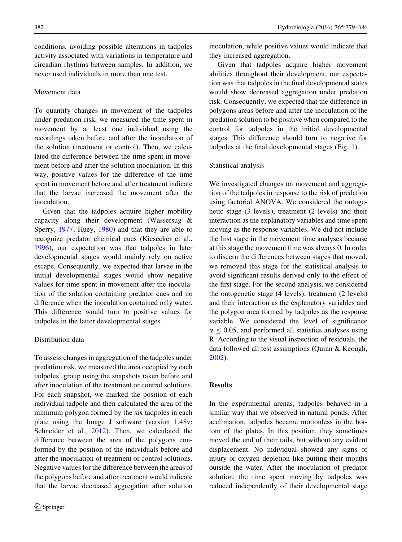conditions, avoiding possible alterations in tadpoles activity associated with variations in temperature and circadian rhythms between samples. In addition, we never used individuals in more than one test.

## Movement data

To quantify changes in movement of the tadpoles under predation risk, we measured the time spent in movement by at least one individual using the recordings taken before and after the inoculation of the solution (treatment or control). Then, we calculated the difference between the time spent in movement before and after the solution inoculation. In this way, positive values for the difference of the time spent in movement before and after treatment indicate that the larvae increased the movement after the inoculation.

Given that the tadpoles acquire higher mobility capacity along their development (Wassersug & Sperry, [1977](#page-7-0); Huey, [1980\)](#page-6-0) and that they are able to recognize predator chemical cues (Kiesecker et al., [1996\)](#page-6-0), our expectation was that tadpoles in later developmental stages would mainly rely on active escape. Consequently, we expected that larvae in the initial developmental stages would show negative values for time spent in movement after the inoculation of the solution containing predator cues and no difference when the inoculation contained only water. This difference would turn to positive values for tadpoles in the latter developmental stages.

#### Distribution data

To assess changes in aggregation of the tadpoles under predation risk, we measured the area occupied by each tadpoles' group using the snapshots taken before and after inoculation of the treatment or control solutions. For each snapshot, we marked the position of each individual tadpole and then calculated the area of the minimum polygon formed by the six tadpoles in each plate using the Image J software (version 1.48v; Schneider et al., [2012](#page-7-0)). Then, we calculated the difference between the area of the polygons conformed by the position of the individuals before and after the inoculation of treatment or control solutions. Negative values for the difference between the areas of the polygons before and after treatment would indicate that the larvae decreased aggregation after solution

inoculation, while positive values would indicate that they increased aggregation.

Given that tadpoles acquire higher movement abilities throughout their development, our expectation was that tadpoles in the final developmental states would show decreased aggregation under predation risk. Consequently, we expected that the difference in polygons areas before and after the inoculation of the predation solution to be positive when compared to the control for tadpoles in the initial developmental stages. This difference should turn to negative for tadpoles at the final developmental stages (Fig. [1](#page-4-0)).

## Statistical analysis

We investigated changes on movement and aggregation of the tadpoles in response to the risk of predation using factorial ANOVA. We considered the ontogenetic stage (3 levels), treatment (2 levels) and their interaction as the explanatory variables and time spent moving as the response variables. We did not include the first stage in the movement time analyses because at this stage the movement time was always 0. In order to discern the differences between stages that moved, we removed this stage for the statistical analysis to avoid significant results derived only to the effect of the first stage. For the second analysis, we considered the ontogenetic stage (4 levels), treatment (2 levels) and their interaction as the explanatory variables and the polygon area formed by tadpoles as the response variable. We considered the level of significance  $\alpha \leq 0.05$ , and performed all statistics analyses using R. According to the visual inspection of residuals, the data followed all test assumptions (Quinn & Keough, [2002\)](#page-7-0).

# Results

In the experimental arenas, tadpoles behaved in a similar way that we observed in natural ponds. After acclimation, tadpoles became motionless in the bottom of the plates. In this position, they sometimes moved the end of their tails, but without any evident displacement. No individual showed any signs of injury or oxygen depletion like putting their mouths outside the water. After the inoculation of predator solution, the time spent moving by tadpoles was reduced independently of their developmental stage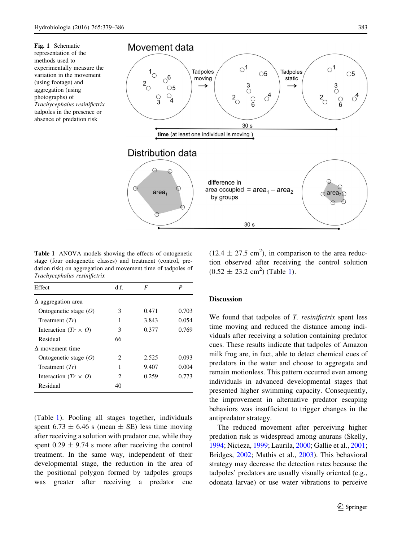<span id="page-4-0"></span>Fig. 1 Schematic representation of the methods used to experimentally measure the variation in the movement (using footage) and aggregation (using photographs) of Trachycephalus resinifictrix tadpoles in the presence or absence of predation risk



Table 1 ANOVA models showing the effects of ontogenetic stage (four ontogenetic classes) and treatment (control, predation risk) on aggregation and movement time of tadpoles of Trachycephalus resinifictrix

| Effect                      | d f.                        | F     |       |
|-----------------------------|-----------------------------|-------|-------|
| $\Delta$ aggregation area   |                             |       |       |
| Ontogenetic stage $(O)$     | 3                           | 0.471 | 0.703 |
| Treatment $(Tr)$            | 1                           | 3.843 | 0.054 |
| Interaction $(Tr \times 0)$ | 3                           | 0.377 | 0.769 |
| Residual                    | 66                          |       |       |
| $\Lambda$ movement time     |                             |       |       |
| Ontogenetic stage $(O)$     | 2                           | 2.525 | 0.093 |
| Treatment $(Tr)$            | 1                           | 9.407 | 0.004 |
| Interaction $(Tr \times 0)$ | $\mathcal{D}_{\mathcal{L}}$ | 0.259 | 0.773 |
| Residual                    | 40                          |       |       |

(Table 1). Pooling all stages together, individuals spent 6.73  $\pm$  6.46 s (mean  $\pm$  SE) less time moving after receiving a solution with predator cue, while they spent  $0.29 \pm 9.74$  s more after receiving the control treatment. In the same way, independent of their developmental stage, the reduction in the area of the positional polygon formed by tadpoles groups was greater after receiving a predator cue

 $(12.4 \pm 27.5 \text{ cm}^2)$ , in comparison to the area reduction observed after receiving the control solution  $(0.52 \pm 23.2 \text{ cm}^2)$  (Table 1).

# **Discussion**

We found that tadpoles of T. *resinifictrix* spent less time moving and reduced the distance among individuals after receiving a solution containing predator cues. These results indicate that tadpoles of Amazon milk frog are, in fact, able to detect chemical cues of predators in the water and choose to aggregate and remain motionless. This pattern occurred even among individuals in advanced developmental stages that presented higher swimming capacity. Consequently, the improvement in alternative predator escaping behaviors was insufficient to trigger changes in the antipredator strategy.

The reduced movement after perceiving higher predation risk is widespread among anurans (Skelly, [1994;](#page-7-0) Nicieza, [1999;](#page-7-0) Laurila, [2000;](#page-6-0) Gallie et al., [2001](#page-6-0); Bridges, [2002](#page-6-0); Mathis et al., [2003](#page-6-0)). This behavioral strategy may decrease the detection rates because the tadpoles' predators are usually visually oriented (e.g., odonata larvae) or use water vibrations to perceive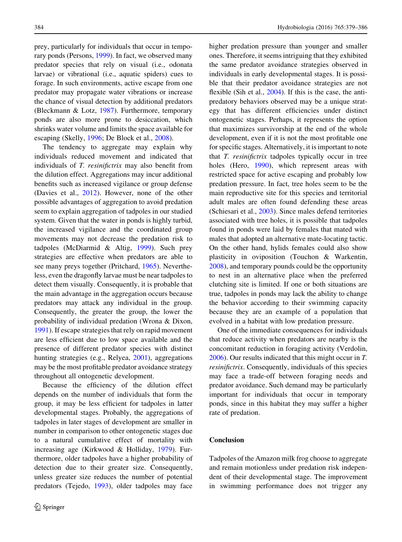prey, particularly for individuals that occur in temporary ponds (Persons, [1999\)](#page-7-0). In fact, we observed many predator species that rely on visual (i.e., odonata larvae) or vibrational (i.e., aquatic spiders) cues to forage. In such environments, active escape from one predator may propagate water vibrations or increase the chance of visual detection by additional predators (Bleckmann & Lotz, [1987](#page-6-0)). Furthermore, temporary ponds are also more prone to desiccation, which shrinks water volume and limits the space available for escaping (Skelly, [1996;](#page-7-0) De Block et al., [2008\)](#page-6-0).

The tendency to aggregate may explain why individuals reduced movement and indicated that individuals of T. resinifictrix may also benefit from the dilution effect. Aggregations may incur additional benefits such as increased vigilance or group defense (Davies et al., [2012](#page-6-0)). However, none of the other possible advantages of aggregation to avoid predation seem to explain aggregation of tadpoles in our studied system. Given that the water in ponds is highly turbid, the increased vigilance and the coordinated group movements may not decrease the predation risk to tadpoles (McDiarmid & Altig, [1999](#page-7-0)). Such prey strategies are effective when predators are able to see many preys together (Pritchard, [1965](#page-7-0)). Nevertheless, even the dragonfly larvae must be near tadpoles to detect them visually. Consequently, it is probable that the main advantage in the aggregation occurs because predators may attack any individual in the group. Consequently, the greater the group, the lower the probability of individual predation (Wrona & Dixon, [1991\)](#page-7-0). If escape strategies that rely on rapid movement are less efficient due to low space available and the presence of different predator species with distinct hunting strategies (e.g., Relyea, [2001](#page-7-0)), aggregations may be the most profitable predator avoidance strategy throughout all ontogenetic development.

Because the efficiency of the dilution effect depends on the number of individuals that form the group, it may be less efficient for tadpoles in latter developmental stages. Probably, the aggregations of tadpoles in later stages of development are smaller in number in comparison to other ontogenetic stages due to a natural cumulative effect of mortality with increasing age (Kirkwood & Holliday, [1979\)](#page-6-0). Furthermore, older tadpoles have a higher probability of detection due to their greater size. Consequently, unless greater size reduces the number of potential predators (Tejedo, [1993\)](#page-7-0), older tadpoles may face

higher predation pressure than younger and smaller ones. Therefore, it seems intriguing that they exhibited the same predator avoidance strategies observed in individuals in early developmental stages. It is possible that their predator avoidance strategies are not flexible (Sih et al., [2004](#page-7-0)). If this is the case, the antipredatory behaviors observed may be a unique strategy that has different efficiencies under distinct ontogenetic stages. Perhaps, it represents the option that maximizes survivorship at the end of the whole development, even if it is not the most profitable one for specific stages. Alternatively, it is important to note that T. resinifictrix tadpoles typically occur in tree holes (Hero, [1990](#page-6-0)), which represent areas with restricted space for active escaping and probably low predation pressure. In fact, tree holes seem to be the main reproductive site for this species and territorial adult males are often found defending these areas (Schiesari et al., [2003](#page-7-0)). Since males defend territories associated with tree holes, it is possible that tadpoles found in ponds were laid by females that mated with males that adopted an alternative mate-locating tactic. On the other hand, hylids females could also show plasticity in oviposition (Touchon & Warkentin, [2008\)](#page-7-0), and temporary pounds could be the opportunity to nest in an alternative place when the preferred clutching site is limited. If one or both situations are true, tadpoles in ponds may lack the ability to change the behavior according to their swimming capacity because they are an example of a population that evolved in a habitat with low predation pressure.

One of the immediate consequences for individuals that reduce activity when predators are nearby is the concomitant reduction in foraging activity (Verdolin, [2006\)](#page-7-0). Our results indicated that this might occur in T. resinifictrix. Consequently, individuals of this species may face a trade-off between foraging needs and predator avoidance. Such demand may be particularly important for individuals that occur in temporary ponds, since in this habitat they may suffer a higher rate of predation.

## Conclusion

Tadpoles of the Amazon milk frog choose to aggregate and remain motionless under predation risk independent of their developmental stage. The improvement in swimming performance does not trigger any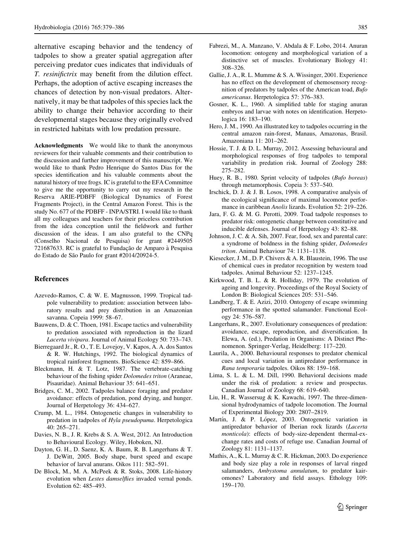<span id="page-6-0"></span>alternative escaping behavior and the tendency of tadpoles to show a greater spatial aggregation after perceiving predator cues indicates that individuals of T. resinifictrix may benefit from the dilution effect. Perhaps, the adoption of active escaping increases the chances of detection by non-visual predators. Alternatively, it may be that tadpoles of this species lack the ability to change their behavior according to their developmental stages because they originally evolved in restricted habitats with low predation pressure.

Acknowledgments We would like to thank the anonymous reviewers for their valuable comments and their contribution to the discussion and further improvement of this manuscript. We would like to thank Pedro Henrique do Santos Dias for the species identification and his valuable comments about the natural history of tree frogs. IC is grateful to the EFA Committee to give me the opportunity to carry out my research in the Reserva ARIE-PDBFF (Biological Dynamics of Forest Fragments Project), in the Central Amazon Forest. This is the study No. 677 of the PDBFF - INPA/STRI. I would like to thank all my colleagues and teachers for their priceless contribution from the idea conception until the fieldwork and further discussion of the ideas. I am also grateful to the CNPq (Conselho Nacional de Pesquisa) for grant #2449505 721687633. RC is grateful to Fundação de Amparo à Pesquisa do Estado de São Paulo for grant #2014/20924-5.

## References

- Azevedo-Ramos, C. & W. E. Magnusson, 1999. Tropical tadpole vulnerability to predation: association between laboratory results and prey distribution in an Amazonian savanna. Copeia 1999: 58–67.
- Bauwens, D. & C. Thoen, 1981. Escape tactics and vulnerability to predation associated with reproduction in the lizard Lacerta vivipara. Journal of Animal Ecology 50: 733–743.
- Bierregaard Jr., R. O., T. E. Lovejoy, V. Kapos, A. A. dos Santos & R. W. Hutchings, 1992. The biological dynamics of tropical rainforest fragments. BioScience 42: 859–866.
- Bleckmann, H. & T. Lotz, 1987. The vertebrate-catching behaviour of the fishing spider Dolomedes triton (Araneae, Pisauridae). Animal Behaviour 35: 641–651.
- Bridges, C. M., 2002. Tadpoles balance foraging and predator avoidance: effects of predation, pond drying, and hunger. Journal of Herpetology 36: 434–627.
- Crump, M. L., 1984. Ontogenetic changes in vulnerability to predation in tadpoles of Hyla pseudopuma. Herpetologica 40: 265–271.
- Davies, N. B., J. R. Krebs & S. A. West, 2012. An Introduction to Behavioural Ecology. Wiley, Hoboken, NJ.
- Dayton, G. H., D. Saenz, K. A. Baum, R. B. Langerhans & T. J. DeWitt, 2005. Body shape, burst speed and escape behavior of larval anurans. Oikos 111: 582–591.
- De Block, M., M. A. McPeek & R. Stoks, 2008. Life-history evolution when Lestes damselflies invaded vernal ponds. Evolution 62: 485–493.
- Fabrezi, M., A. Manzano, V. Abdala & F. Lobo, 2014. Anuran locomotion: ontogeny and morphological variation of a distinctive set of muscles. Evolutionary Biology 41: 308–326.
- Gallie, J. A., R. L. Mumme & S. A. Wissinger, 2001. Experience has no effect on the development of chemosensory recognition of predators by tadpoles of the American toad, Bufo americanus. Herpetologica 57: 376–383.
- Gosner, K. L., 1960. A simplified table for staging anuran embryos and larvae with notes on identification. Herpetologica 16: 183–190.
- Hero, J. M., 1990. An illustrated key to tadpoles occurring in the central amazon rain-forest, Manaus, Amazonas, Brasil. Amazoniana 11: 201–262.
- Hossie, T. J. & D. L. Murray, 2012. Assessing behavioural and morphological responses of frog tadpoles to temporal variability in predation risk. Journal of Zoology 288: 275–282.
- Huey, R. B., 1980. Sprint velocity of tadpoles (Bufo boreas) through metamorphosis. Copeia 3: 537–540.
- Irschick, D. J. & J. B. Losos, 1998. A comparative analysis of the ecological significance of maximal locomotor performance in caribbean Anolis lizards. Evolution 52: 219–226.
- Jara, F. G. & M. G. Perotti, 2009. Toad tadpole responses to predator risk: ontogenetic change between constitutive and inducible defenses. Journal of Herpetology 43: 82–88.
- Johnson, J. C. & A. Sih, 2007. Fear, food, sex and parental care: a syndrome of boldness in the fishing spider, Dolomedes triton. Animal Behaviour 74: 1131–1138.
- Kiesecker, J. M., D. P. Chivers & A. R. Blaustein, 1996. The use of chemical cues in predator recognition by western toad tadpoles. Animal Behaviour 52: 1237–1245.
- Kirkwood, T. B. L. & R. Holliday, 1979. The evolution of ageing and longevity. Proceedings of the Royal Society of London B: Biological Sciences 205: 531–546.
- Landberg, T. & E. Azizi, 2010. Ontogeny of escape swimming performance in the spotted salamander. Functional Ecology 24: 576–587.
- Langerhans, R., 2007. Evolutionary consequences of predation: avoidance, escape, reproduction, and diversification. In Elewa, A. (ed.), Predation in Organisms: A Distinct Phenomenon. Springer-Verlag, Heidelberg: 117–220.
- Laurila, A., 2000. Behavioural responses to predator chemical cues and local variation in antipredator performance in Rana temporaria tadpoles. Oikos 88: 159–168.
- Lima, S. L. & L. M. Dill, 1990. Behavioral decisions made under the risk of predation: a review and prospectus. Canadian Journal of Zoology 68: 619–640.
- Liu, H., R. Wassersug & K. Kawachi, 1997. The three-dimensional hydrodynamics of tadpole locomotion. The Journal of Experimental Biology 200: 2807–2819.
- Martín, J. & P. López, 2003. Ontogenetic variation in antipredator behavior of Iberian rock lizards (Lacerta monticola): effects of body-size-dependent thermal-exchange rates and costs of refuge use. Canadian Journal of Zoology 81: 1131–1137.
- Mathis, A., K. L. Murray & C. R. Hickman, 2003. Do experience and body size play a role in responses of larval ringed salamanders, Ambystoma annulatum, to predator kairomones? Laboratory and field assays. Ethology 109: 159–170.